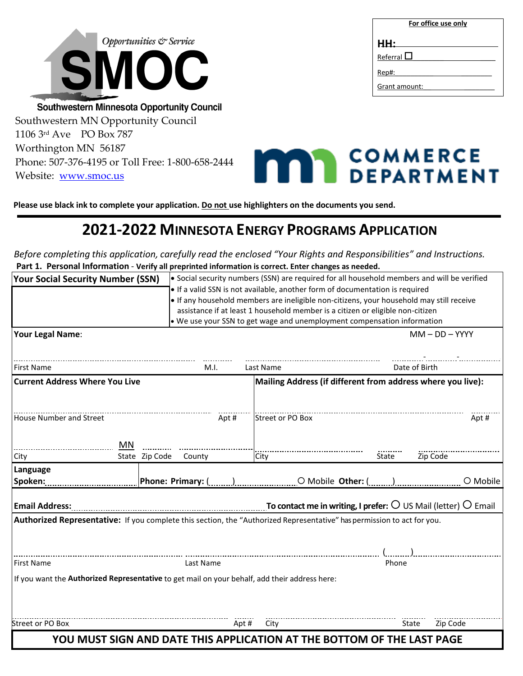

# **2021-2022 MINNESOTA ENERGY PROGRAMS APPLICATION**

*Before completing this application, carefully read the enclosed "Your Rights and Responsibilities" and Instructions.* **Part 1. Personal Information** - **Verify all preprinted information is correct. Enter changes as needed.**

| <b>Your Social Security Number (SSN)</b> |                                                                                                                                                                                                                                                           |                                       |                       |                   |       |                                                                              |                                                                                               |       |       | • Social security numbers (SSN) are required for all household members and will be verified                                                                                                                                                                                                                                                                                                                                                                                                                                                                                                                                                                                                                |
|------------------------------------------|-----------------------------------------------------------------------------------------------------------------------------------------------------------------------------------------------------------------------------------------------------------|---------------------------------------|-----------------------|-------------------|-------|------------------------------------------------------------------------------|-----------------------------------------------------------------------------------------------|-------|-------|------------------------------------------------------------------------------------------------------------------------------------------------------------------------------------------------------------------------------------------------------------------------------------------------------------------------------------------------------------------------------------------------------------------------------------------------------------------------------------------------------------------------------------------------------------------------------------------------------------------------------------------------------------------------------------------------------------|
|                                          |                                                                                                                                                                                                                                                           |                                       |                       |                   |       | . If a valid SSN is not available, another form of documentation is required |                                                                                               |       |       |                                                                                                                                                                                                                                                                                                                                                                                                                                                                                                                                                                                                                                                                                                            |
|                                          |                                                                                                                                                                                                                                                           |                                       |                       |                   |       |                                                                              |                                                                                               |       |       |                                                                                                                                                                                                                                                                                                                                                                                                                                                                                                                                                                                                                                                                                                            |
|                                          |                                                                                                                                                                                                                                                           |                                       |                       | Last Name         |       |                                                                              |                                                                                               |       |       |                                                                                                                                                                                                                                                                                                                                                                                                                                                                                                                                                                                                                                                                                                            |
|                                          |                                                                                                                                                                                                                                                           |                                       |                       |                   |       |                                                                              |                                                                                               |       |       |                                                                                                                                                                                                                                                                                                                                                                                                                                                                                                                                                                                                                                                                                                            |
|                                          |                                                                                                                                                                                                                                                           |                                       | Apt#                  |                   |       |                                                                              |                                                                                               |       |       | Apt#                                                                                                                                                                                                                                                                                                                                                                                                                                                                                                                                                                                                                                                                                                       |
| MN                                       |                                                                                                                                                                                                                                                           |                                       |                       | City              |       |                                                                              | State                                                                                         |       |       |                                                                                                                                                                                                                                                                                                                                                                                                                                                                                                                                                                                                                                                                                                            |
|                                          |                                                                                                                                                                                                                                                           |                                       |                       |                   |       |                                                                              |                                                                                               |       |       | O Mobile                                                                                                                                                                                                                                                                                                                                                                                                                                                                                                                                                                                                                                                                                                   |
|                                          |                                                                                                                                                                                                                                                           |                                       |                       |                   |       |                                                                              |                                                                                               |       |       |                                                                                                                                                                                                                                                                                                                                                                                                                                                                                                                                                                                                                                                                                                            |
|                                          |                                                                                                                                                                                                                                                           |                                       |                       |                   |       |                                                                              |                                                                                               |       |       |                                                                                                                                                                                                                                                                                                                                                                                                                                                                                                                                                                                                                                                                                                            |
|                                          |                                                                                                                                                                                                                                                           |                                       |                       |                   |       |                                                                              |                                                                                               |       |       |                                                                                                                                                                                                                                                                                                                                                                                                                                                                                                                                                                                                                                                                                                            |
|                                          |                                                                                                                                                                                                                                                           |                                       |                       |                   |       |                                                                              |                                                                                               |       |       |                                                                                                                                                                                                                                                                                                                                                                                                                                                                                                                                                                                                                                                                                                            |
|                                          |                                                                                                                                                                                                                                                           |                                       |                       |                   |       |                                                                              |                                                                                               |       |       |                                                                                                                                                                                                                                                                                                                                                                                                                                                                                                                                                                                                                                                                                                            |
|                                          |                                                                                                                                                                                                                                                           |                                       |                       | City              |       |                                                                              |                                                                                               |       |       |                                                                                                                                                                                                                                                                                                                                                                                                                                                                                                                                                                                                                                                                                                            |
|                                          | House Number and Street<br>Spoken: the contract of the contract of the contract of the contract of the contract of the contract of the contract of the contract of the contract of the contract of the contract of the contract of the contract of the co | <b>Current Address Where You Live</b> | State Zip Code County | M.I.<br>Last Name | Apt # | Street or PO Box                                                             | If you want the Authorized Representative to get mail on your behalf, add their address here: | Phone | State | . If any household members are ineligible non-citizens, your household may still receive<br>assistance if at least 1 household member is a citizen or eligible non-citizen<br>. We use your SSN to get wage and unemployment compensation information<br>$MM - DD - YYYY$<br>Date of Birth<br>Mailing Address (if different from address where you live):<br>Zip Code<br>Email Address: $\ldots$ Email Address: $\ldots$ Email and $\sigma$ Email and $\sigma$ and $\sigma$ and $\ldots$ To contact me in writing, I prefer: $\circ$ US Mail (letter) $\circ$ Email<br>Authorized Representative: If you complete this section, the "Authorized Representative" has permission to act for you.<br>Zip Code |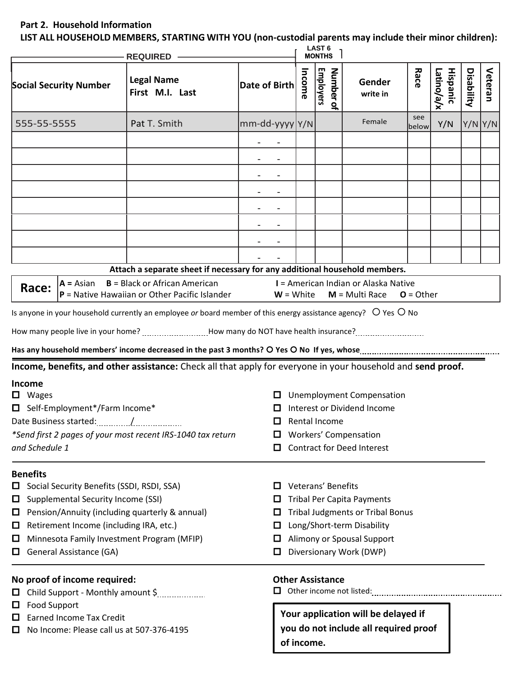## **Part 2. Household Information**

**LIST ALL HOUSEHOLD MEMBERS, STARTING WITH YOU (non-custodial parents may include their minor children):**

|                        |                                                                            | REQUIRED -                                                                                                                       |                       |                                        |                                                          | LAST <sub>6</sub><br><b>MONTHS</b> |                                                          |              |                        |            |         |
|------------------------|----------------------------------------------------------------------------|----------------------------------------------------------------------------------------------------------------------------------|-----------------------|----------------------------------------|----------------------------------------------------------|------------------------------------|----------------------------------------------------------|--------------|------------------------|------------|---------|
|                        | <b>Social Security Number</b>                                              | <b>Legal Name</b><br>First M.I. Last                                                                                             | Date of Birth         |                                        | Income                                                   | <b>Employers</b><br>Number of      | Gender<br>write in                                       | Race         | Hispanic<br>Latino/a/x | Disability | Veteran |
| 555-55-5555            |                                                                            | Pat T. Smith                                                                                                                     | $mm$ -dd-yyyy $ Y/N $ |                                        |                                                          |                                    | Female                                                   | see<br>below | Y/N                    |            | Y/N Y/N |
|                        |                                                                            |                                                                                                                                  |                       |                                        |                                                          |                                    |                                                          |              |                        |            |         |
|                        |                                                                            |                                                                                                                                  |                       |                                        |                                                          |                                    |                                                          |              |                        |            |         |
|                        |                                                                            |                                                                                                                                  |                       |                                        |                                                          |                                    |                                                          |              |                        |            |         |
|                        |                                                                            |                                                                                                                                  |                       |                                        |                                                          |                                    |                                                          |              |                        |            |         |
|                        |                                                                            |                                                                                                                                  |                       |                                        |                                                          |                                    |                                                          |              |                        |            |         |
|                        |                                                                            |                                                                                                                                  |                       |                                        |                                                          |                                    |                                                          |              |                        |            |         |
|                        |                                                                            |                                                                                                                                  |                       |                                        |                                                          |                                    |                                                          |              |                        |            |         |
|                        |                                                                            |                                                                                                                                  |                       |                                        |                                                          |                                    |                                                          |              |                        |            |         |
|                        |                                                                            | Attach a separate sheet if necessary for any additional household members.                                                       |                       |                                        |                                                          |                                    |                                                          |              |                        |            |         |
| Race:                  | $A = Asian$                                                                | $B = Black$ or African American<br>$P =$ Native Hawaiian or Other Pacific Islander                                               |                       | $W = White$                            |                                                          |                                    | I = American Indian or Alaska Native<br>$M = Multi Race$ | $O = Other$  |                        |            |         |
|                        |                                                                            | Is anyone in your household currently an employee or board member of this energy assistance agency? O Yes O No                   |                       |                                        |                                                          |                                    |                                                          |              |                        |            |         |
|                        |                                                                            | How many people live in your home? How many do NOT have health insurance?                                                        |                       |                                        |                                                          |                                    |                                                          |              |                        |            |         |
|                        |                                                                            |                                                                                                                                  |                       |                                        |                                                          |                                    |                                                          |              |                        |            |         |
|                        |                                                                            | Has any household members' income decreased in the past 3 months? O Yes O No If yes, whose manual contract and manual controller |                       |                                        |                                                          |                                    |                                                          |              |                        |            |         |
|                        |                                                                            | Income, benefits, and other assistance: Check all that apply for everyone in your household and send proof.                      |                       |                                        |                                                          |                                    |                                                          |              |                        |            |         |
| Income<br>$\Box$ Wages |                                                                            |                                                                                                                                  |                       |                                        |                                                          |                                    | <b>Unemployment Compensation</b>                         |              |                        |            |         |
|                        | □ Self-Employment*/Farm Income*                                            |                                                                                                                                  |                       |                                        |                                                          |                                    | Interest or Dividend Income                              |              |                        |            |         |
|                        |                                                                            |                                                                                                                                  |                       | Rental Income<br>0                     |                                                          |                                    |                                                          |              |                        |            |         |
|                        |                                                                            | *Send first 2 pages of your most recent IRS-1040 tax return                                                                      |                       | ப                                      |                                                          |                                    | <b>Workers' Compensation</b>                             |              |                        |            |         |
| and Schedule 1         |                                                                            |                                                                                                                                  |                       | ப                                      |                                                          |                                    | <b>Contract for Deed Interest</b>                        |              |                        |            |         |
| <b>Benefits</b>        |                                                                            |                                                                                                                                  |                       |                                        |                                                          |                                    |                                                          |              |                        |            |         |
|                        | Social Security Benefits (SSDI, RSDI, SSA)                                 |                                                                                                                                  |                       | ப                                      |                                                          | Veterans' Benefits                 |                                                          |              |                        |            |         |
| □                      | Supplemental Security Income (SSI)                                         |                                                                                                                                  |                       | <b>Tribal Per Capita Payments</b><br>ப |                                                          |                                    |                                                          |              |                        |            |         |
| Ц                      |                                                                            | Pension/Annuity (including quarterly & annual)                                                                                   |                       | □                                      | <b>Tribal Judgments or Tribal Bonus</b><br>□             |                                    |                                                          |              |                        |            |         |
| $\Box$<br>0            | Retirement Income (including IRA, etc.)                                    |                                                                                                                                  |                       | □                                      | Long/Short-term Disability<br>Alimony or Spousal Support |                                    |                                                          |              |                        |            |         |
| □                      | Minnesota Family Investment Program (MFIP)<br>General Assistance (GA)<br>□ |                                                                                                                                  |                       |                                        | Diversionary Work (DWP)                                  |                                    |                                                          |              |                        |            |         |
|                        | No proof of income required:                                               |                                                                                                                                  |                       |                                        |                                                          | <b>Other Assistance</b>            |                                                          |              |                        |            |         |
| 0                      |                                                                            |                                                                                                                                  |                       | Ц.                                     |                                                          |                                    |                                                          |              |                        |            |         |
| $\Box$                 | <b>Food Support</b>                                                        |                                                                                                                                  |                       |                                        |                                                          |                                    |                                                          |              |                        |            |         |
| ப                      | <b>Earned Income Tax Credit</b>                                            |                                                                                                                                  |                       |                                        |                                                          |                                    | Your application will be delayed if                      |              |                        |            |         |
|                        | No Income: Please call us at 507-376-4195                                  |                                                                                                                                  |                       |                                        | of income.                                               |                                    | you do not include all required proof                    |              |                        |            |         |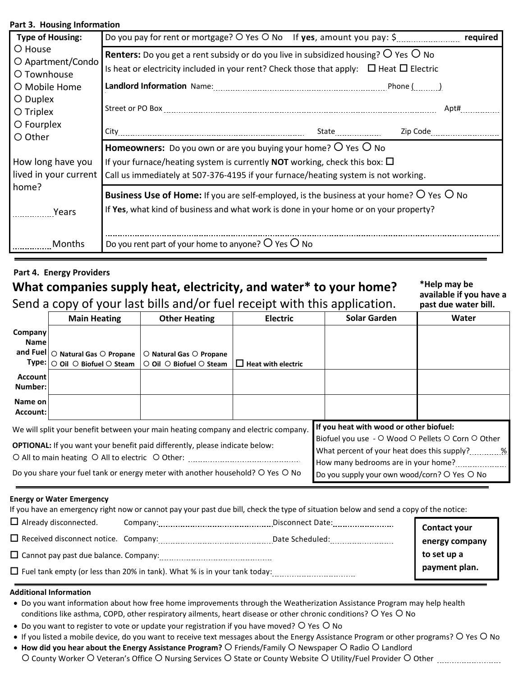### **Part 3. Housing Information**

| <b>Type of Housing:</b>                      | Do you pay for rent or mortgage? O Yes O No If yes, amount you pay: \$<br>required                                                                                                                                        |
|----------------------------------------------|---------------------------------------------------------------------------------------------------------------------------------------------------------------------------------------------------------------------------|
| O House<br>O Apartment/Condo<br>O Townhouse  | <b>Renters:</b> Do you get a rent subsidy or do you live in subsidized housing? $\overline{O}$ Yes $\overline{O}$ No<br>Is heat or electricity included in your rent? Check those that apply: $\Box$ Heat $\Box$ Electric |
| O Mobile Home                                |                                                                                                                                                                                                                           |
| O Duplex<br>$\bigcirc$ Triplex<br>O Fourplex | Apt#                                                                                                                                                                                                                      |
| O Other                                      |                                                                                                                                                                                                                           |
|                                              | <b>Homeowners:</b> Do you own or are you buying your home? $\circ$ Yes $\circ$ No                                                                                                                                         |
| How long have you<br>lived in your current   | If your furnace/heating system is currently <b>NOT</b> working, check this box: $\Box$<br>Call us immediately at 507-376-4195 if your furnace/heating system is not working.                                              |
| home?<br>Years Years                         | <b>Business Use of Home:</b> If you are self-employed, is the business at your home? $O$ Yes $O$ No<br>If Yes, what kind of business and what work is done in your home or on your property?                              |
| Months                                       | Do you rent part of your home to anyone? $O$ Yes $O$ No                                                                                                                                                                   |

### **Part 4. Energy Providers**

# **What companies supply heat, electricity, and water\* to your home?**  Send a copy of your last bills and/or fuel receipt with this application.

**\*Help may be available if you have a past due water bill.**

|                                                                                                                                                                          |                                                                                                                   | $\sim$ . The copy of your last bins and/or last receipt with this application.   |                           |                                                                                                                                                  | PUJI WAC 170IC. DIIII |  |  |
|--------------------------------------------------------------------------------------------------------------------------------------------------------------------------|-------------------------------------------------------------------------------------------------------------------|----------------------------------------------------------------------------------|---------------------------|--------------------------------------------------------------------------------------------------------------------------------------------------|-----------------------|--|--|
|                                                                                                                                                                          | <b>Main Heating</b>                                                                                               | <b>Other Heating</b>                                                             | <b>Electric</b>           | <b>Solar Garden</b>                                                                                                                              | Water                 |  |  |
| Company<br><b>Name</b>                                                                                                                                                   |                                                                                                                   |                                                                                  |                           |                                                                                                                                                  |                       |  |  |
|                                                                                                                                                                          | and Fuel $\vert$ $\bigcirc$ Natural Gas $\bigcirc$ Propane<br>$Type:   \circ$ Oil $ \circ$ Biofuel $ \circ$ Steam | $\circ$ Natural Gas $\circ$ Propane<br>$\circ$ Oil $\circ$ Biofuel $\circ$ Steam | $\Box$ Heat with electric |                                                                                                                                                  |                       |  |  |
| <b>Account</b><br>Number:                                                                                                                                                |                                                                                                                   |                                                                                  |                           |                                                                                                                                                  |                       |  |  |
| Name on<br>Account:                                                                                                                                                      |                                                                                                                   |                                                                                  |                           |                                                                                                                                                  |                       |  |  |
| We will split your benefit between your main heating company and electric company.<br><b>OPTIONAL:</b> If you want your benefit paid differently, please indicate below: |                                                                                                                   |                                                                                  |                           | If you heat with wood or other biofuel:<br>Biofuel you use - O Wood O Pellets O Corn O Other<br>What percent of your heat does this supply? 		 % |                       |  |  |
| Do you share your fuel tank or energy meter with another household? O Yes O No                                                                                           |                                                                                                                   |                                                                                  |                           | How many bedrooms are in your home?<br>Do you supply your own wood/corn? O Yes O No                                                              |                       |  |  |

#### **Energy or Water Emergency**

If you have an emergency right now or cannot pay your past due bill, check the type of situation below and send a copy of the notice:

| $\Box$ Already disconnected.                 | Company:                                                                         | Disconnect Date: | Contact your   |
|----------------------------------------------|----------------------------------------------------------------------------------|------------------|----------------|
| $\Box$ Received disconnect notice. Company:  |                                                                                  | Date Scheduled:  | energy company |
| $\Box$ Cannot pay past due balance. Company: |                                                                                  |                  | to set up a    |
|                                              | $\Box$ Fuel tank empty (or less than 20% in tank). What % is in your tank today: |                  | payment plan.  |

#### **Additional Information**

- Do you want information about how free home improvements through the Weatherization Assistance Program may help health conditions like asthma, COPD, other respiratory ailments, heart disease or other chronic conditions? O Yes O No
- Do you want to register to vote or update your registration if you have moved?  $\bigcirc$  Yes  $\bigcirc$  No
- If you listed a mobile device, do you want to receive text messages about the Energy Assistance Program or other programs? O Yes O No
- How did you hear about the Energy Assistance Program? O Friends/Family O Newspaper O Radio O Landlord County Worker Veteran's Office Nursing Services State or County Website Utility/Fuel Provider Other .